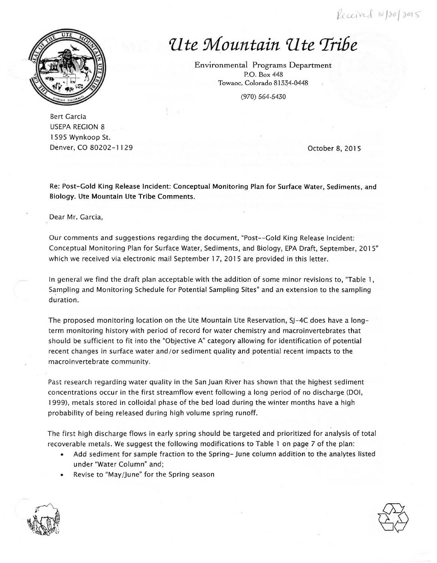Received 10/20/2015



## *'Ute Mountain 'Ute 'Tribe*

Environmental Programs Department P.O . Box 448 Towaoc, Colorado 81334-0448

(970) 564-5430

Bert Garcia USEPA REGION 8 l 595 Wynkoop St. Denver, co 80202-1129 October 8, 2015

Re: Post-Gold King Release Incident: Conceptual Monitoring Plan for Surface Water, Sediments, and Biology. Ute Mountain Ute Tribe Comments.

Dear Mr. Garcia,

Our comments and suggestions regarding the document, "Post-- Gold King Release Incident: Conceptual Monitoring Plan for Surface Water, Sediments, and Biology, EPA Draft, September, 2015" which we received via electronic mail September 17, 2015 are provided in this letter.

In general we find the draft plan acceptable with the addition of some minor revisions to, "Table l, Sampling and Monitoring Schedule for Potential Sampling Sites" and an extension to the sampling duration.

The proposed monitoring location on the Ute Mountain Ute Reservation, SJ-4C does have a longterm monitoring history with period of record for water chemistry and macroinvertebrates that should be sufficient to fit into the "Objective A" category allowing for identification of potential recent changes in surface water and/or sediment quality and potential recent impacts to the macroinvertebrate community.

Past research regarding water quality in the San Juan River has shown that the highest sediment concentrations occur in the first streamflow event following a long period of no discharge (DOI, 1999), metals stored in colloidal phase of the bed load during the winter months have a high probability of being released during high volume spring runoff.

The first high discharge flows in early spring should be targeted and prioritized for analysis of total recoverable metals. We suggest the following modifications to Table l on page 7 of the plan:

- Add sediment for sample fraction to the Spring- June column addition to the analytes listed under 'Water Column" and;
- Revise to "May/June" for the Spring season